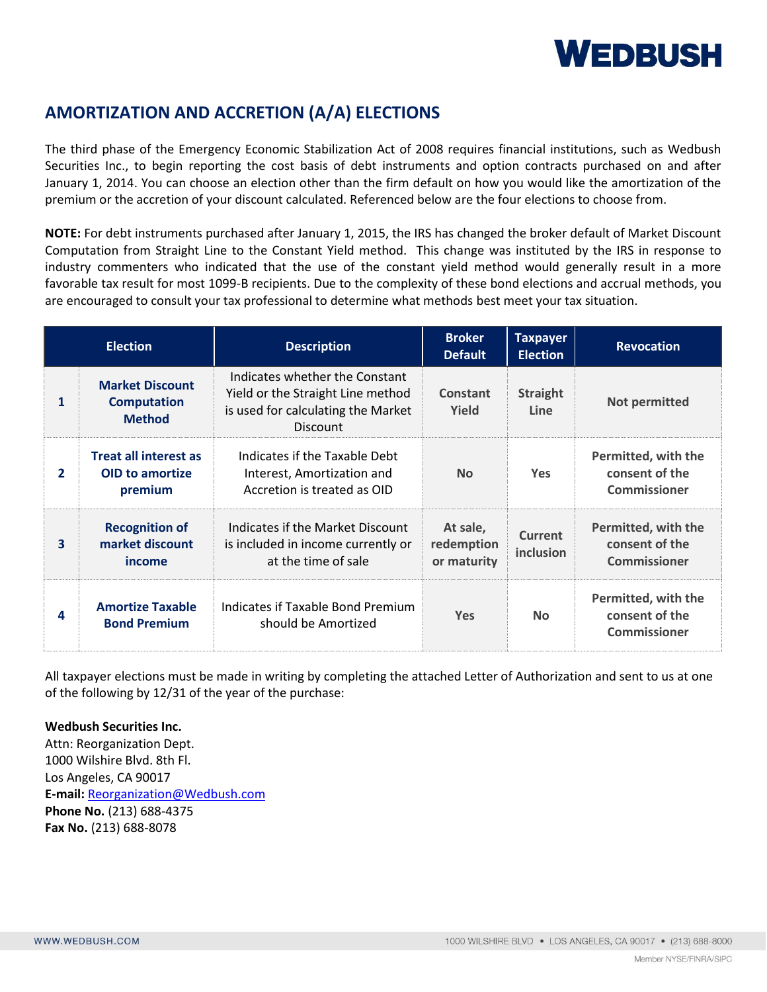# **WEDBUSH**

### **AMORTIZATION AND ACCRETION (A/A) ELECTIONS**

The third phase of the Emergency Economic Stabilization Act of 2008 requires financial institutions, such as Wedbush Securities Inc., to begin reporting the cost basis of debt instruments and option contracts purchased on and after January 1, 2014. You can choose an election other than the firm default on how you would like the amortization of the premium or the accretion of your discount calculated. Referenced below are the four elections to choose from.

**NOTE:** For debt instruments purchased after January 1, 2015, the IRS has changed the broker default of Market Discount Computation from Straight Line to the Constant Yield method. This change was instituted by the IRS in response to industry commenters who indicated that the use of the constant yield method would generally result in a more favorable tax result for most 1099-B recipients. Due to the complexity of these bond elections and accrual methods, you are encouraged to consult your tax professional to determine what methods best meet your tax situation.

| <b>Election</b>         |                                                                   | <b>Description</b>                                                                                                           | <b>Broker</b><br><b>Default</b>       | <b>Taxpayer</b><br><b>Election</b> | <b>Revocation</b>                                            |
|-------------------------|-------------------------------------------------------------------|------------------------------------------------------------------------------------------------------------------------------|---------------------------------------|------------------------------------|--------------------------------------------------------------|
| 1                       | <b>Market Discount</b><br><b>Computation</b><br><b>Method</b>     | Indicates whether the Constant<br>Yield or the Straight Line method<br>is used for calculating the Market<br><b>Discount</b> | Constant<br>Yield                     | <b>Straight</b><br>Line            | Not permitted                                                |
| $\mathbf{2}$            | <b>Treat all interest as</b><br><b>OID</b> to amortize<br>premium | Indicates if the Taxable Debt<br>Interest, Amortization and<br>Accretion is treated as OID                                   | <b>No</b>                             | <b>Yes</b>                         | Permitted, with the<br>consent of the<br><b>Commissioner</b> |
| $\overline{\mathbf{3}}$ | <b>Recognition of</b><br>market discount<br>income                | Indicates if the Market Discount<br>is included in income currently or<br>at the time of sale                                | At sale,<br>redemption<br>or maturity | <b>Current</b><br>inclusion        | Permitted, with the<br>consent of the<br><b>Commissioner</b> |
| 4                       | <b>Amortize Taxable</b><br><b>Bond Premium</b>                    | Indicates if Taxable Bond Premium<br>should be Amortized                                                                     | <b>Yes</b>                            | <b>No</b>                          | Permitted, with the<br>consent of the<br><b>Commissioner</b> |

All taxpayer elections must be made in writing by completing the attached Letter of Authorization and sent to us at one of the following by 12/31 of the year of the purchase:

#### **Wedbush Securities Inc.**

Attn: Reorganization Dept. 1000 Wilshire Blvd. 8th Fl. Los Angeles, CA 90017 **E-mail:** [Reorganization@Wedbush.com](mailto:Reorganization@Wedbush.com) **Phone No.** (213) 688-4375 **Fax No.** (213) 688-8078